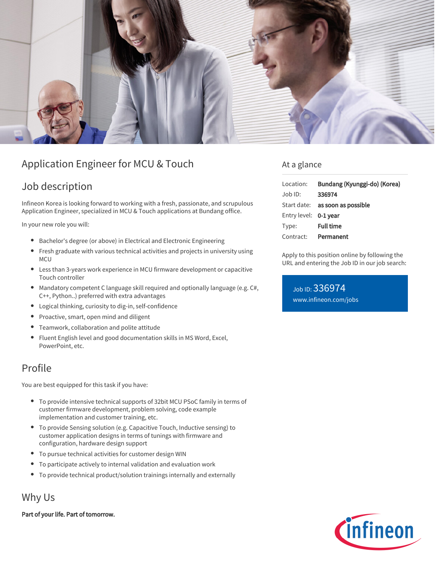

# Application Engineer for MCU & Touch

## Job description

Infineon Korea is looking forward to working with a fresh, passionate, and scrupulous Application Engineer, specialized in MCU & Touch applications at Bundang office.

In your new role you will:

- Bachelor's degree (or above) in Electrical and Electronic Engineering
- Fresh graduate with various technical activities and projects in university using  $\bullet$ **MCU**
- Less than 3-years work experience in MCU firmware development or capacitive Touch controller
- Mandatory competent C language skill required and optionally language (e.g. C#, C++, Python..) preferred with extra advantages
- Logical thinking, curiosity to dig-in, self-confidence
- Proactive, smart, open mind and diligent  $\bullet$
- Teamwork, collaboration and polite attitude
- Fluent English level and good documentation skills in MS Word, Excel, PowerPoint, etc.

### Profile

You are best equipped for this task if you have:

- To provide intensive technical supports of 32bit MCU PSoC family in terms of customer firmware development, problem solving, code example implementation and customer training, etc.
- To provide Sensing solution (e.g. Capacitive Touch, Inductive sensing) to customer application designs in terms of tunings with firmware and configuration, hardware design support
- To pursue technical activities for customer design WIN
- $\bullet$ To participate actively to internal validation and evaluation work
- To provide technical product/solution trainings internally and externally

Why Us

Part of your life. Part of tomorrow.

#### At a glance

| Location:             | Bundang (Kyunggi-do) (Korea)           |
|-----------------------|----------------------------------------|
| $Job$ ID:             | 336974                                 |
|                       | Start date: <b>as soon as possible</b> |
| Entry level: 0-1 year |                                        |
| Type:                 | <b>Full time</b>                       |
| Contract:             | Permanent                              |

Apply to this position online by following the URL and entering the Job ID in our job search:

Job ID: 336974 [www.infineon.com/jobs](https://www.infineon.com/jobs)